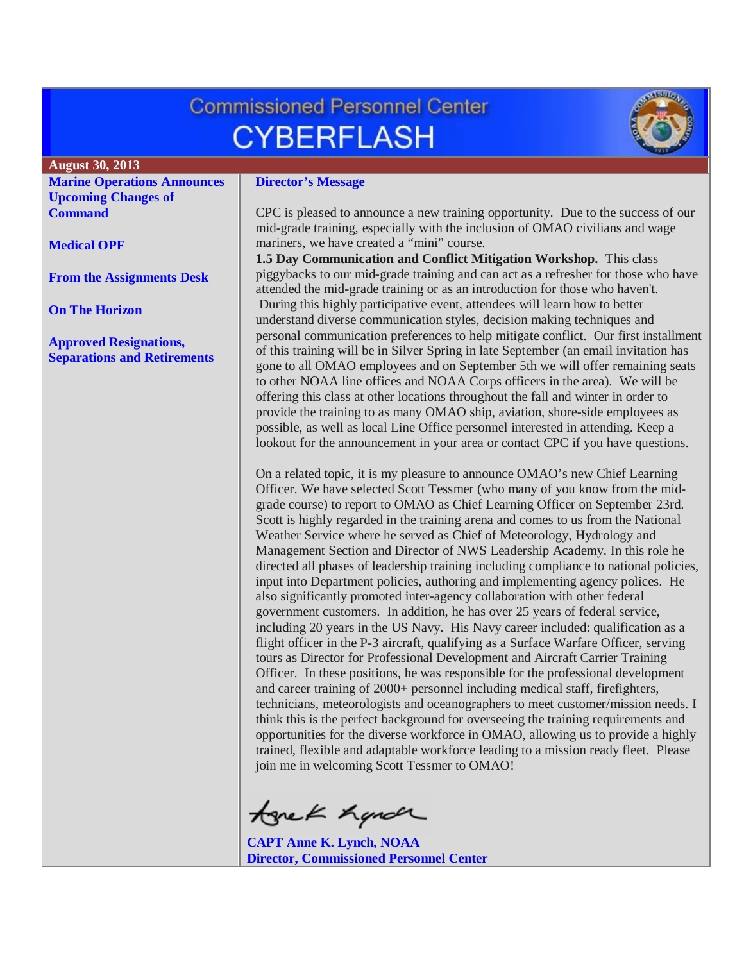# **Commissioned Personnel Center CYBERFLASH**



#### **August 30, 2013**

**[Marine Operations Announces](#page-1-0)  [Upcoming Changes of](#page-1-0)  [Command](#page-1-0)**

**[Medical OPF](#page-1-1)**

**[From the Assignments Desk](#page-1-2)**

**[On The Horizon](#page-2-0)**

**[Approved Resignations,](#page-2-1)  [Separations and Retirements](#page-2-1)**

#### **Director's Message**

CPC is pleased to announce a new training opportunity. Due to the success of our mid-grade training, especially with the inclusion of OMAO civilians and wage mariners, we have created a "mini" course.

**1.5 Day Communication and Conflict Mitigation Workshop.** This class piggybacks to our mid-grade training and can act as a refresher for those who have attended the mid-grade training or as an introduction for those who haven't. During this highly participative event, attendees will learn how to better understand diverse communication styles, decision making techniques and personal communication preferences to help mitigate conflict. Our first installment of this training will be in Silver Spring in late September (an email invitation has gone to all OMAO employees and on September 5th we will offer remaining seats to other NOAA line offices and NOAA Corps officers in the area). We will be offering this class at other locations throughout the fall and winter in order to provide the training to as many OMAO ship, aviation, shore-side employees as possible, as well as local Line Office personnel interested in attending. Keep a lookout for the announcement in your area or contact CPC if you have questions.

On a related topic, it is my pleasure to announce OMAO's new Chief Learning Officer. We have selected Scott Tessmer (who many of you know from the midgrade course) to report to OMAO as Chief Learning Officer on September 23rd. Scott is highly regarded in the training arena and comes to us from the National Weather Service where he served as Chief of Meteorology, Hydrology and Management Section and Director of NWS Leadership Academy. In this role he directed all phases of leadership training including compliance to national policies, input into Department policies, authoring and implementing agency polices. He also significantly promoted inter-agency collaboration with other federal government customers. In addition, he has over 25 years of federal service, including 20 years in the US Navy. His Navy career included: qualification as a flight officer in the P-3 aircraft, qualifying as a Surface Warfare Officer, serving tours as Director for Professional Development and Aircraft Carrier Training Officer. In these positions, he was responsible for the professional development and career training of 2000+ personnel including medical staff, firefighters, technicians, meteorologists and oceanographers to meet customer/mission needs. I think this is the perfect background for overseeing the training requirements and opportunities for the diverse workforce in OMAO, allowing us to provide a highly trained, flexible and adaptable workforce leading to a mission ready fleet. Please join me in welcoming Scott Tessmer to OMAO!

tonek hande

**CAPT Anne K. Lynch, NOAA Director, Commissioned Personnel Center**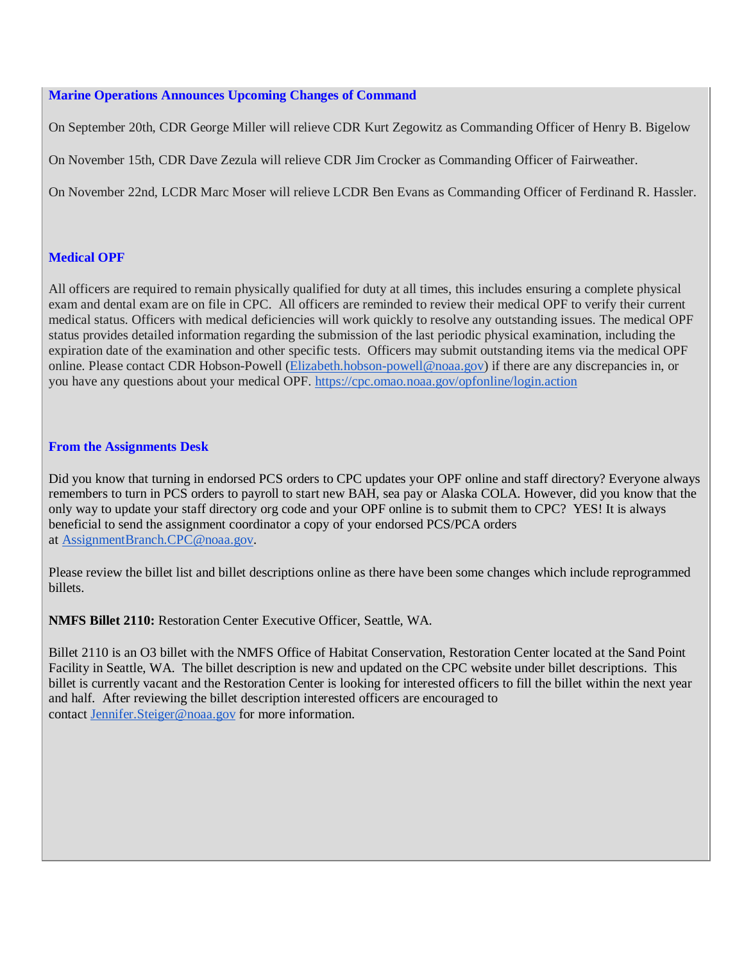### <span id="page-1-0"></span>**Marine Operations Announces Upcoming Changes of Command**

On September 20th, CDR George Miller will relieve CDR Kurt Zegowitz as Commanding Officer of Henry B. Bigelow

On November 15th, CDR Dave Zezula will relieve CDR Jim Crocker as Commanding Officer of Fairweather.

On November 22nd, LCDR Marc Moser will relieve LCDR Ben Evans as Commanding Officer of Ferdinand R. Hassler.

# <span id="page-1-1"></span>**Medical OPF**

All officers are required to remain physically qualified for duty at all times, this includes ensuring a complete physical exam and dental exam are on file in CPC. All officers are reminded to review their medical OPF to verify their current medical status. Officers with medical deficiencies will work quickly to resolve any outstanding issues. The medical OPF status provides detailed information regarding the submission of the last periodic physical examination, including the expiration date of the examination and other specific tests. Officers may submit outstanding items via the medical OPF online. Please contact CDR Hobson-Powell [\(Elizabeth.hobson-powell@noaa.gov\)](mailto:Elizabeth.hobson-powell@noaa.gov) if there are any discrepancies in, or you have any questions about your medical OPF. <https://cpc.omao.noaa.gov/opfonline/login.action>

### <span id="page-1-2"></span>**From the Assignments Desk**

Did you know that turning in endorsed PCS orders to CPC updates your OPF online and staff directory? Everyone always remembers to turn in PCS orders to payroll to start new BAH, sea pay or Alaska COLA. However, did you know that the only way to update your staff directory org code and your OPF online is to submit them to CPC? YES! It is always beneficial to send the assignment coordinator a copy of your endorsed PCS/PCA orders at [AssignmentBranch.CPC@noaa.gov.](mailto:AssignmentBranch.CPC@noaa.gov)

Please review the billet list and billet descriptions online as there have been some changes which include reprogrammed billets.

**NMFS Billet 2110:** Restoration Center Executive Officer, Seattle, WA.

Billet 2110 is an O3 billet with the NMFS Office of Habitat Conservation, Restoration Center located at the Sand Point Facility in Seattle, WA. The billet description is new and updated on the CPC website under billet descriptions. This billet is currently vacant and the Restoration Center is looking for interested officers to fill the billet within the next year and half. After reviewing the billet description interested officers are encouraged to contact [Jennifer.Steiger@noaa.gov](mailto:Jennifer.Steiger@noaa.gov) for more information.